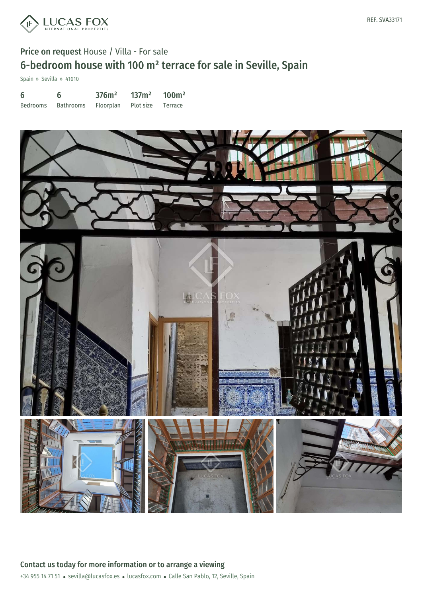

## Price on request House / Villa - For sale 6-bedroom house with 100 m² terrace for sale in Seville, Spain

Spain » Sevilla » 41010

| -6       | 6                                     | 376m <sup>2</sup> | 137m <sup>2</sup> | 100m <sup>2</sup> |
|----------|---------------------------------------|-------------------|-------------------|-------------------|
| Bedrooms | Bathrooms Floorplan Plot size Terrace |                   |                   |                   |